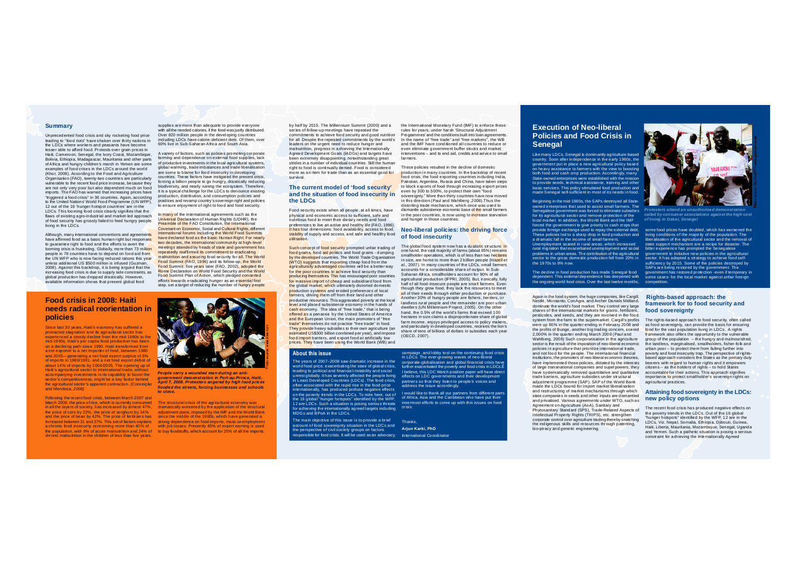#### **Summary**

Unprecedented food crisis and sky rocketing food price leading to "food riots" have shaken over thirty nations in the LDCs where workers and peasants have become lesser able to afford food. Protests over grain prices in Haiti, Cameroon, Senegal, the Ivory Coast, Mozambique, Bolivia, Ethiopia, Madagascar, Mauritania and other parts ofAfrica and hungry children's march in Yemen are some examples of food crises in the LDCs around the world (Khor, 2008). According to the Food and Agriculture Organisation (FAO), twenty-two countries are particularly vulnerable to the recent food price increase, because they are not only very poor but also dependent much on food imports. The FAO has warned that increasing prices have "triggered a food crisis" in 36 countries. Again, according to the United Nations' World Food Programme (UN WFP) 12 out of the 16 'hunger hotspot countries' are in the LDCs. This looming food crisis clearly signifies that the flaws of existing agro-industrial and market-led approach of food security has grossly failed to feed hungry people living in the LDCs.

Although, many international conventions and agreements have affirmed food as a basic human right but responses to guarantee right to food and the efforts to avert the looming crisis is frustrating. Globally, more than 73 million people in 78 countries have to depend on food aid from the UN WFP who is now facing reduced rations this year unless additional US \$500 million is infused (Guzman, 2008). Against this backdrop, it is being argued that the increasing food crisis is due to supply side constraints, as global production has dropped drastically. However, available information shows that present global food

### **Food crisis in 2008: Haiti needs radical reorientation in policies**

Since last 30 years, Haiti's economy has suffered a protracted stagnation and its agricultural sector has experienced a steady decline from the mid-1980s to the mid-1990s. Haiti's per capita food production has been on a declining path since 1990. Haiti transformed from a net exporter to a net importer of food, between 1980 and 2005—generating a net food export surplus of 6% of imports in 1980/1981, and a net food export deficit of about 14% of imports by 2004/2005. The opening up of Haiti's agricultural sector to international trade, without accompanying investments in its capability to boost the sector's competitiveness, might be a key factor behind the agricultural sector's apparent contraction. (Conceição and Mendoza, *2008)*

Following the recent food crisis, between March 2007 and March 2008, the price of rice, which is currently consumed in all the layers of society, has increased by almost 47%, the price of corn by 22%, the price of sorghum by 34% and the price of bean by 42%. The price of fertilizers has increased between 31 and 37%. This set of factors explains a chronic food insecurity concerning more than 40% of the population, with 9% of acute malnutrition and 24% of chronic malnutrition in the children of less than five years.

supplies are more than adequate to provide everyone with all the needed calories, if the food was justly distributed. Over 820 million people in the developing countries including LDCs have calorie-deficient diets. Of them, over 60% live in Sub-Saharan Africa and South Asia.

A variety of factors, such as policies promoting corporate farming and dependence on external food supplies, lack of productive investments in the local agricultural systems, global warming, trade imbalances and trade liberalisation are some to blame for food insecurity in developing countries. These factors have instigated the present crisis, forcing a billion people to go hungry, drastically reducing biodiversity, and nearly ruining the ecosystem. Therefore, it is a typical challenge for the LDCs to denounce existing production, distribution, and consumption policies and practices and revamp country's sovereign right and policies to ensure enjoyment of right to food and food security.

In many of the international agreements such as the Universal Declaration of Human Rights (UDHR), the Preamble of the FAO Constitution, the International Covenant on Economic, Social and Cultural Rights, different international forums including the World Food Summits have declared food as the basic Human Right. For nearly two decades, the international community at high-level meetings attended by heads of state and government has repeatedly reaffirmed its commitment to eradicating malnutrition and assuring food security for all. The World Food Summit (FAO, 1996) and its fol low-up, the World Food Summit: five years later (FAO, 2002), adopted the Rome Declaration on World Food Security and the World Food Summit Plan of Action, which pledged concerted efforts towards eradicating hunger as an essential first step, set a target of reducing the number of hungry people



*People carry a wounded man during an antigovernment demonstration in Port-au-Prince, Haiti, April 7, 2008. Protesters angered by high food prices flooded the streets, forcing businesses and schools to close.*

The structural crisis of the agricultural economy was dramatically worsened by the application of the structural adjustment plans, imposed by the IMF and the World Bank since the middle of the 1980s, which have generated a strong dependence on food imports, mass unemployment with job losses. Presently 85% of export earning is used. to buy foodstuffs, which account for 25% of all the imports.

by half by 2015. The Millennium Summit (2000) and a series of follow-up meetings have repeated the commitments to achieve food security and good nutrition for all. Despite the repeated commitments by the world's leaders on the urgent need to reduce hunger and malnutrition, progress in achieving the Internationally Agreed Development Goals (IADGs) and targets have been extremely disappointing, notwithstanding great strides in a number of individual countries. Still the human right to food is continual ly denied. Food is considered more as an item for trade than as an essential good for survival.

#### **The current model of 'food security' and the situation of food insecurity in the LDCs**

Food security exists when all people, at all times, have physical and economic access to sufficient, safe and nutritious food to meet their dietary needs and food preferences to live an active and healthy life (FAO, 1996). It has four dimensions: food availability, access to food, stability of supply and access, and safe and healthy food utilisation.

Such concept of food security prompted unfair trading of food grains, food aid politics and food grains - dumping by the developed countries. The World Trade Organisation (WTO) suggests that importing cheap food from the agriculturally advantaged countries will be a better way for the poor countries to achieve food security than producing themselves. This has encouraged poor countries for massive import of cheap and subsidised food from the global market, which ultimately distorted domestic production systems and eroded preferences of local farmers, driving them off from their land and other productive resources. This a garavated poverty at the local level and placed subsistence economy in the hands of cash economy. The idea of "free trade," that is being offered as a panacea by the United States of America and the European Union, the main promoters of "free trade" themselves do not practice "free trade" in food. They provide heavy subsidies to their own agriculture (an estimated US\$300 billion combined per year), and impose food import barriers, and export food at artificially low prices. They have been using the World Bank (WB) and

#### **About this issue**

The years of 2007–2008 saw dramatic increase in the world food price, exacerbating the state of global crisis, leading to political and financial instability and social unrest globally. It has severely affected the people living in Least Developed Countries (LDCs). The food crisis, often associated with the rapid rise in the food price internationally, has produced profuse negative effects on the poverty trends in the LDCs. To note here, out of the 16 global "hunger hotspots" identified by the WFP. 12 are LDCs. Such a situation is posing serious threats for achieving the internationally agreed targets including MDGs and BPoA in the LDCs.

The main objective of this issue is to provide a brief account of food sovereignty situation in the LDCs and the perspective of civil society groups on factors responsible for food crisis. It will be used as an advocacy,

the International Monetary Fund (IMF) to enforce these rules for years, under harsh 'Structural Adjustment Programmes' and the conditions built into loan agreements. In the name of "free trade" and "free markets'', the WB and the IMF have conditioned all countries to reduce or even eliminate government buffer stocks and market interventions – and to end aid, credits and advice to small farmers.

These policies resulted in the decline of domestic production in many countries. In the backdrop of recent food crisis, the food exporting countries including India, Pakistan, Argentina, Russia and China, have taken steps to block exports of food through increasing export prices even by 300 to 500%, to protect their own "food sovereignty." More than thirty countries have now moved in this direction (Paul and Wahlberg ,2008).Thus the distorting trade mechanism, which once was used to dismantle subsistence economic base of the small farmers in the poor countries, is now using to increase starvation. and hunger in those countries.

#### **Neo-liberal policies: the driving force of food insecurity**

The global food system now has a dualistic structure. In one hand, the vast majority of farms (about 85%) remains smallholder operations, which is of less than two hectares in size, are home to more than 2 billion people (Hazell et al., 2007). In many countries of the LDCs, small farmers accounts for a considerable share of output. In Sub-Saharan Africa, smallholders account for 90% of all agricultural production (IFPRI, 2005). But, ironically, fully half of all food-insecure people are small farmers. Even though they grow food, they lack the resources to meet all of their needs through either production or purchase. Another 30% of hungry people are fishers, herders, or landless rural people and the remainder are poor urban dwellers (UN Millennium Project, 2005). On the other hand, the 0.5% of the world's farms that exceed 100 hectares in size claims a disproportionate share of global farm income, enjoys privileged access to policy makers. and particularly in developed countries, receives the lion's share of tens of billions of dollars in subsidies each year (OECD, 2007).

in LDCs. The ever-growing waves of neo-liberal corporate-globalisation and global financial crisis have further exacerbated the poverty and food crisis in LDCs.Ê

effects on LDC governments and their development partners so that they listen to people's voices and address the issue accordingly. I would like to thank all our partners from different parts

of Africa, Asia and the Caribbean who have put their innermost efforts to come up with this issues on food crisis.

Thanks, **Arjun Karki, PhD** International Coordinator

## **Execution of Neo-liberal Policies and Food Crisis in Senegal**

Like many LDCs, Senegal is dominantly agriculture-based country. Soon after independence in the early 1960s, the government put in place a new agricultural policy based on heavy assistance to farmers with the view to boosting both food and cash crop production. Accordingly, many State-owned enterprises were established with the mission to provide seeds, technical assistance, training and other basic services. This policy stimulated food production and made Senegal self-sufficient in most of its needs in food.

Beginning in the mid-1980s, the SAPs destroyed all Stateowned enterprises that used to assist small farmers. The Senegalese government was forced to eliminate subsidies for its agricultural sector and remove protection of the local market. In addition, the World Bank and the IMF forced the government to give priority to cash crops that provide foreign exchange used to repay the external debt. These policies led to a sharp drop in food production and a dramatic fall in the income of small farmers. Unemployment soared in rural areas, which increased rural migration that exacerbated unemployment and social problems in urban areas. The contribution of the agricultural sector to the gross domestic production fell from 20% in the 1970s to 8% now.

The decline in food production has made Senegal food dependent. This external dependence has deepened with the ongoing world food crisis. Over the last twelve months, competition.

Again in the food system, the huge companies, like Cargill, Nestlé, Monsanto, ConAgra, and Archer Daniels Midland, dominate the world's food market. They control very large shares of the international markets for grains, fertilizers, pesticides, and seeds, and they are involved in the food system from the farm to the supermarket. Cargill's profits were up 86% in the quarter ending in February 2008 and the profits of Bunge, another big trading concern, soared 2,000% in the quarter ending March 2008 (Paul and Wahlberg, 2008) Such corporatisation in the agriculture sector is the result of the imposition of neo-liberal economic policies in agriculture that prioritize international trade, and not food for the people. The international financial institutions, the promoters of neo-liberal economic theories, have implemented those policies, dictated by the interests of large transnational companies and superpowers; they have systematically removed quantitative and qualitative trade barriers, agriculture subsidies under structural adjustment programme (SAP). SAP of the World Bank made the LDCs bound for import market liberalisation and restructuring of market mechanisms through which state companies in seeds and other inputs are dismantled and privatised. Various agreements under WTO, such as Agreement on Agriculture (AoA), Sanitary and Phytosanitary Standard (SPS), Trade-Related Aspects of Intellectual Property Rights (TRIPS), etc. strengthen corporate control over agriculture trading thereby snatching the indigenous skills and resources through patenting, bio-piracy and genetic engineering.



*Protesters attend an unauthorised demonstration called by consumer associations against the high cost of living in Dakar, Senegal*

some food prices have doubled, which has worsened the living conditions of the majority of the population. The liberalisation of the agricultural sector and the removal of state support mechanism are a recipe for disaster. The bitter experience has prompted the Senegalese government to initiative new policies in the agricultural sector. It has adopted a strategy to achieve food selfsufficiency by 2015. Some of the policies destroyed by SAPs are being restored by the government. The government has restored protection -even if temporary in some cases- for the local market against unfair foreign

#### **Rights-based approach: the framework for to food security and food sovereignty**

The rights-based approach to food security, often called as food sovereignty, can provide the basis for ensuring food for the vast population living in LDCs. A rights framework also offers the opportunity to the vulnerable group of the population – the hungry and malnourished, the landless, marginalised, smallholders, fisher-folk and urban poor – to protect them from falling further into poverty and food insecurity trap. The perspective ofrightsbased approach considers the States as the primary duty bearers with regard to human rights and it empowers  $citzens - as the holds of  $riahes - to hold States$$ accountable for their actions. This approach signifies importance to protect smallholder's sovereign rights on agricultural practices.

#### **Attaining food sovereignty in the LDCs: new policy options**

The recent food crisis has produced negative effects on the poverty trends in the LDCs. Out of the 16 global "hunger hotspots" identified by the WFP, 12 are in the LDCs, Viz. Nepal, Somalia, Ethiopia, Djibouti, Guinea, Haiti, Liberia, Mauritania, Mozambique, Senegal, Uganda and Yemen. Such a pathetic situation is posing a serious constraint for achieving the Internationally Agreed

campaign, and lobby tool on the continuing food crisis I believe, this LDC Watch position paper will have direct